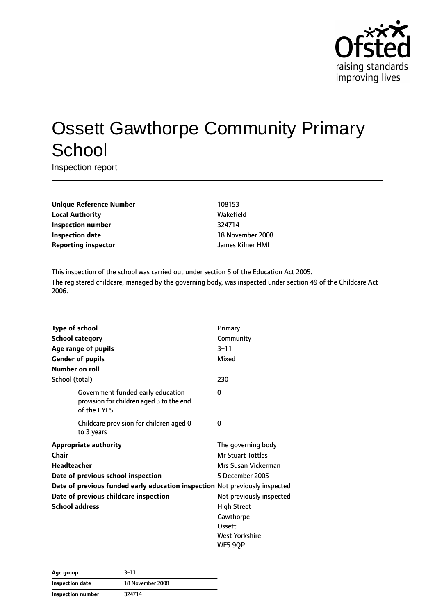

# Ossett Gawthorpe Community Primary **School**

Inspection report

| <b>Unique Reference Number</b> |
|--------------------------------|
| <b>Local Authority</b>         |
| <b>Inspection number</b>       |
| <b>Inspection date</b>         |
| <b>Reporting inspector</b>     |

**Unique Reference Number** 108153 **Local Authority** Wakefield **Inspection number** 324714 **18 November 2008 Reporting inspector** James Kilner HMI

This inspection of the school was carried out under section 5 of the Education Act 2005. The registered childcare, managed by the governing body, was inspected under section 49 of the Childcare Act 2006.

| <b>Type of school</b>                                                                        | Primary                  |
|----------------------------------------------------------------------------------------------|--------------------------|
| <b>School category</b>                                                                       | Community                |
| Age range of pupils                                                                          | $3 - 11$                 |
| <b>Gender of pupils</b>                                                                      | Mixed                    |
| <b>Number on roll</b>                                                                        |                          |
| School (total)                                                                               | 230                      |
| Government funded early education<br>provision for children aged 3 to the end<br>of the EYFS | 0                        |
| Childcare provision for children aged 0<br>to 3 years                                        | 0                        |
| <b>Appropriate authority</b>                                                                 | The governing body       |
| Chair                                                                                        | <b>Mr Stuart Tottles</b> |
| <b>Headteacher</b>                                                                           | Mrs Susan Vickerman      |
| Date of previous school inspection                                                           | 5 December 2005          |
| Date of previous funded early education inspection Not previously inspected                  |                          |
| Date of previous childcare inspection                                                        | Not previously inspected |
| <b>School address</b>                                                                        | <b>High Street</b>       |
|                                                                                              | Gawthorpe                |
|                                                                                              | Ossett                   |
|                                                                                              | <b>West Yorkshire</b>    |
|                                                                                              | WF5 9QP                  |

| Age group         | $3 - 11$         |
|-------------------|------------------|
| Inspection date   | 18 November 2008 |
| Inspection number | 324714           |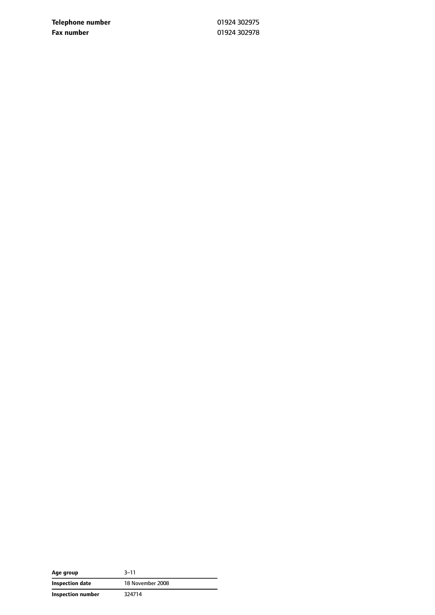**Telephone number** 01924 302975 **Fax number** 01924 302978

| Age group         | $3 - 11$         |
|-------------------|------------------|
| Inspection date   | 18 November 2008 |
| Inspection number | 324714           |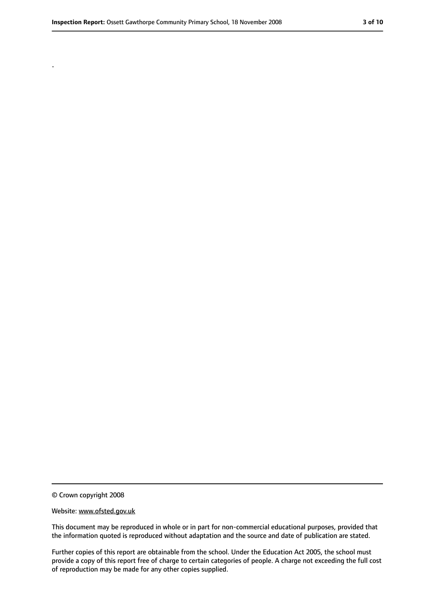.

<sup>©</sup> Crown copyright 2008

Website: www.ofsted.gov.uk

This document may be reproduced in whole or in part for non-commercial educational purposes, provided that the information quoted is reproduced without adaptation and the source and date of publication are stated.

Further copies of this report are obtainable from the school. Under the Education Act 2005, the school must provide a copy of this report free of charge to certain categories of people. A charge not exceeding the full cost of reproduction may be made for any other copies supplied.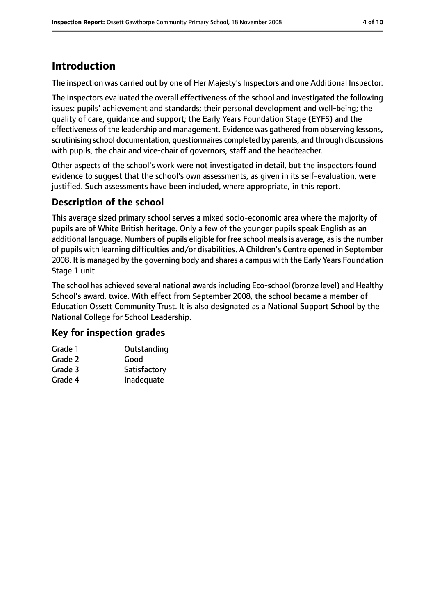# **Introduction**

The inspection was carried out by one of Her Majesty's Inspectors and one Additional Inspector.

The inspectors evaluated the overall effectiveness of the school and investigated the following issues: pupils' achievement and standards; their personal development and well-being; the quality of care, guidance and support; the Early Years Foundation Stage (EYFS) and the effectiveness of the leadership and management. Evidence was gathered from observing lessons, scrutinising school documentation, questionnaires completed by parents, and through discussions with pupils, the chair and vice-chair of governors, staff and the headteacher.

Other aspects of the school's work were not investigated in detail, but the inspectors found evidence to suggest that the school's own assessments, as given in its self-evaluation, were justified. Such assessments have been included, where appropriate, in this report.

#### **Description of the school**

This average sized primary school serves a mixed socio-economic area where the majority of pupils are of White British heritage. Only a few of the younger pupils speak English as an additional language. Numbers of pupils eligible for free school meals is average, as is the number of pupils with learning difficulties and/or disabilities. A Children's Centre opened in September 2008. It is managed by the governing body and shares a campus with the Early Years Foundation Stage 1 unit.

The school has achieved several national awardsincluding Eco-school (bronze level) and Healthy School's award, twice. With effect from September 2008, the school became a member of Education Ossett Community Trust. It is also designated as a National Support School by the National College for School Leadership.

#### **Key for inspection grades**

| Outstanding  |
|--------------|
| Good         |
| Satisfactory |
| Inadequate   |
|              |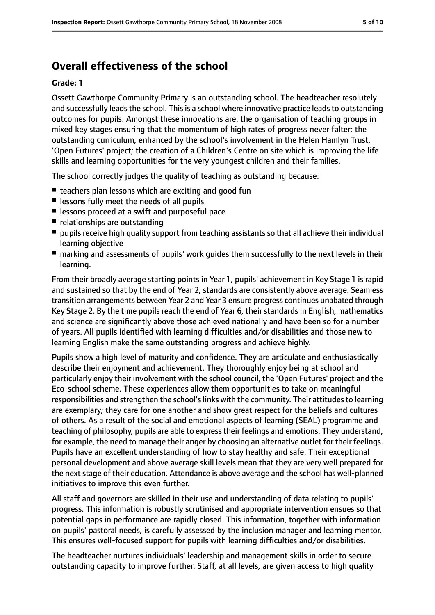## **Overall effectiveness of the school**

#### **Grade: 1**

Ossett Gawthorpe Community Primary is an outstanding school. The headteacher resolutely and successfully leads the school. This is a school where innovative practice leads to outstanding outcomes for pupils. Amongst these innovations are: the organisation of teaching groups in mixed key stages ensuring that the momentum of high rates of progress never falter; the outstanding curriculum, enhanced by the school's involvement in the Helen Hamlyn Trust, 'Open Futures' project; the creation of a Children's Centre on site which is improving the life skills and learning opportunities for the very youngest children and their families.

The school correctly judges the quality of teaching as outstanding because:

- teachers plan lessons which are exciting and good fun
- lessons fully meet the needs of all pupils
- lessons proceed at a swift and purposeful pace
- relationships are outstanding
- pupils receive high quality support from teaching assistants so that all achieve their individual learning objective
- marking and assessments of pupils' work quides them successfully to the next levels in their learning.

From their broadly average starting points in Year 1, pupils' achievement in Key Stage 1 is rapid and sustained so that by the end of Year 2, standards are consistently above average. Seamless transition arrangements between Year 2 and Year 3 ensure progress continues unabated through Key Stage 2. By the time pupils reach the end of Year 6, their standards in English, mathematics and science are significantly above those achieved nationally and have been so for a number of years. All pupils identified with learning difficulties and/or disabilities and those new to learning English make the same outstanding progress and achieve highly.

Pupils show a high level of maturity and confidence. They are articulate and enthusiastically describe their enjoyment and achievement. They thoroughly enjoy being at school and particularly enjoy their involvement with the school council, the 'Open Futures' project and the Eco-school scheme. These experiences allow them opportunities to take on meaningful responsibilities and strengthen the school's links with the community. Their attitudes to learning are exemplary; they care for one another and show great respect for the beliefs and cultures of others. As a result of the social and emotional aspects of learning (SEAL) programme and teaching of philosophy, pupils are able to expresstheir feelings and emotions. They understand, for example, the need to manage their anger by choosing an alternative outlet for their feelings. Pupils have an excellent understanding of how to stay healthy and safe. Their exceptional personal development and above average skill levels mean that they are very well prepared for the next stage of their education. Attendance is above average and the school has well-planned initiatives to improve this even further.

All staff and governors are skilled in their use and understanding of data relating to pupils' progress. This information is robustly scrutinised and appropriate intervention ensues so that potential gaps in performance are rapidly closed. This information, together with information on pupils' pastoral needs, is carefully assessed by the inclusion manager and learning mentor. This ensures well-focused support for pupils with learning difficulties and/or disabilities.

The headteacher nurtures individuals' leadership and management skills in order to secure outstanding capacity to improve further. Staff, at all levels, are given access to high quality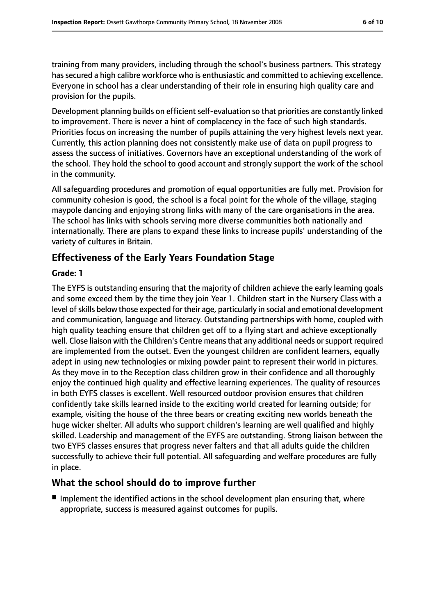training from many providers, including through the school's business partners. This strategy has secured a high calibre workforce who is enthusiastic and committed to achieving excellence. Everyone in school has a clear understanding of their role in ensuring high quality care and provision for the pupils.

Development planning builds on efficient self-evaluation so that priorities are constantly linked to improvement. There is never a hint of complacency in the face of such high standards. Priorities focus on increasing the number of pupils attaining the very highest levels next year. Currently, this action planning does not consistently make use of data on pupil progress to assess the success of initiatives. Governors have an exceptional understanding of the work of the school. They hold the school to good account and strongly support the work of the school in the community.

All safeguarding procedures and promotion of equal opportunities are fully met. Provision for community cohesion is good, the school is a focal point for the whole of the village, staging maypole dancing and enjoying strong links with many of the care organisations in the area. The school has links with schools serving more diverse communities both nationally and internationally. There are plans to expand these links to increase pupils' understanding of the variety of cultures in Britain.

#### **Effectiveness of the Early Years Foundation Stage**

#### **Grade: 1**

The EYFS is outstanding ensuring that the majority of children achieve the early learning goals and some exceed them by the time they join Year 1. Children start in the Nursery Class with a level of skills below those expected for their age, particularly in social and emotional development and communication, language and literacy. Outstanding partnerships with home, coupled with high quality teaching ensure that children get off to a flying start and achieve exceptionally well. Close liaison with the Children's Centre means that any additional needs or support required are implemented from the outset. Even the youngest children are confident learners, equally adept in using new technologies or mixing powder paint to represent their world in pictures. As they move in to the Reception class children grow in their confidence and all thoroughly enjoy the continued high quality and effective learning experiences. The quality of resources in both EYFS classes is excellent. Well resourced outdoor provision ensures that children confidently take skills learned inside to the exciting world created for learning outside; for example, visiting the house of the three bears or creating exciting new worlds beneath the huge wicker shelter. All adults who support children's learning are well qualified and highly skilled. Leadership and management of the EYFS are outstanding. Strong liaison between the two EYFS classes ensures that progress never falters and that all adults guide the children successfully to achieve their full potential. All safeguarding and welfare procedures are fully in place.

#### **What the school should do to improve further**

■ Implement the identified actions in the school development plan ensuring that, where appropriate, success is measured against outcomes for pupils.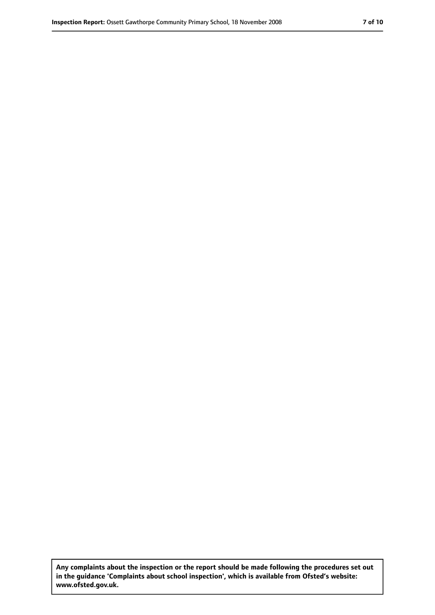**Any complaints about the inspection or the report should be made following the procedures set out in the guidance 'Complaints about school inspection', which is available from Ofsted's website: www.ofsted.gov.uk.**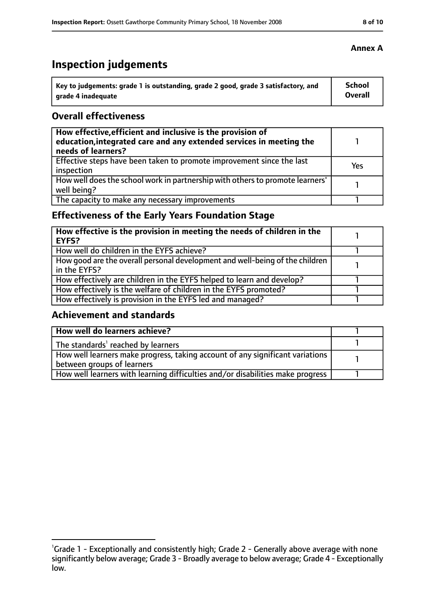# **Inspection judgements**

| Key to judgements: grade 1 is outstanding, grade 2 good, grade 3 satisfactory, and | <b>School</b>  |
|------------------------------------------------------------------------------------|----------------|
| arade 4 inadequate                                                                 | <b>Overall</b> |

#### **Overall effectiveness**

| How effective, efficient and inclusive is the provision of<br>education, integrated care and any extended services in meeting the<br>needs of learners? |     |
|---------------------------------------------------------------------------------------------------------------------------------------------------------|-----|
| Effective steps have been taken to promote improvement since the last<br>inspection                                                                     | Yes |
| How well does the school work in partnership with others to promote learners'<br>well being?                                                            |     |
| The capacity to make any necessary improvements                                                                                                         |     |

## **Effectiveness of the Early Years Foundation Stage**

| How effective is the provision in meeting the needs of children in the<br>EYFS?              |  |
|----------------------------------------------------------------------------------------------|--|
| How well do children in the EYFS achieve?                                                    |  |
| How good are the overall personal development and well-being of the children<br>in the EYFS? |  |
| How effectively are children in the EYFS helped to learn and develop?                        |  |
| How effectively is the welfare of children in the EYFS promoted?                             |  |
| How effectively is provision in the EYFS led and managed?                                    |  |

#### **Achievement and standards**

| How well do learners achieve?                                                  |  |
|--------------------------------------------------------------------------------|--|
| The standards <sup>1</sup> reached by learners                                 |  |
| How well learners make progress, taking account of any significant variations  |  |
| between groups of learners                                                     |  |
| How well learners with learning difficulties and/or disabilities make progress |  |

#### **Annex A**

<sup>&</sup>lt;sup>1</sup>Grade 1 - Exceptionally and consistently high; Grade 2 - Generally above average with none significantly below average; Grade 3 - Broadly average to below average; Grade 4 - Exceptionally low.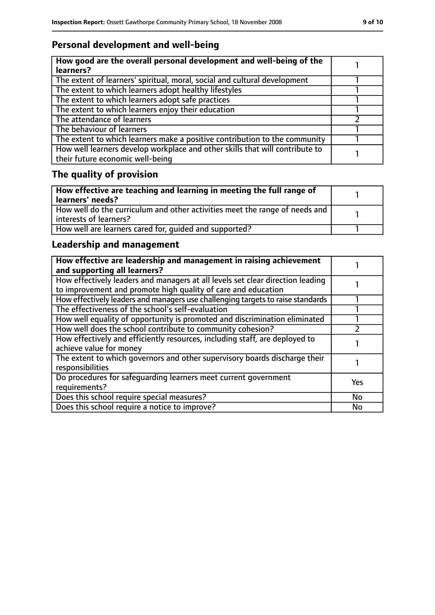## **Personal development and well-being**

| How good are the overall personal development and well-being of the<br>learners?                                 |  |
|------------------------------------------------------------------------------------------------------------------|--|
| The extent of learners' spiritual, moral, social and cultural development                                        |  |
| The extent to which learners adopt healthy lifestyles                                                            |  |
| The extent to which learners adopt safe practices                                                                |  |
| The extent to which learners enjoy their education                                                               |  |
| The attendance of learners                                                                                       |  |
| The behaviour of learners                                                                                        |  |
| The extent to which learners make a positive contribution to the community                                       |  |
| How well learners develop workplace and other skills that will contribute to<br>their future economic well-being |  |

# **The quality of provision**

| How effective are teaching and learning in meeting the full range of<br>learners' needs?              |  |
|-------------------------------------------------------------------------------------------------------|--|
| How well do the curriculum and other activities meet the range of needs and<br>interests of learners? |  |
| How well are learners cared for, quided and supported?                                                |  |

## **Leadership and management**

| How effective are leadership and management in raising achievement<br>and supporting all learners?                                              |            |
|-------------------------------------------------------------------------------------------------------------------------------------------------|------------|
| How effectively leaders and managers at all levels set clear direction leading<br>to improvement and promote high quality of care and education |            |
| How effectively leaders and managers use challenging targets to raise standards                                                                 |            |
| The effectiveness of the school's self-evaluation                                                                                               |            |
| How well equality of opportunity is promoted and discrimination eliminated                                                                      |            |
| How well does the school contribute to community cohesion?                                                                                      |            |
| How effectively and efficiently resources, including staff, are deployed to<br>achieve value for money                                          |            |
| The extent to which governors and other supervisory boards discharge their<br>responsibilities                                                  |            |
| Do procedures for safequarding learners meet current government<br>requirements?                                                                | <b>Yes</b> |
| Does this school require special measures?                                                                                                      | <b>No</b>  |
| Does this school require a notice to improve?                                                                                                   | No         |